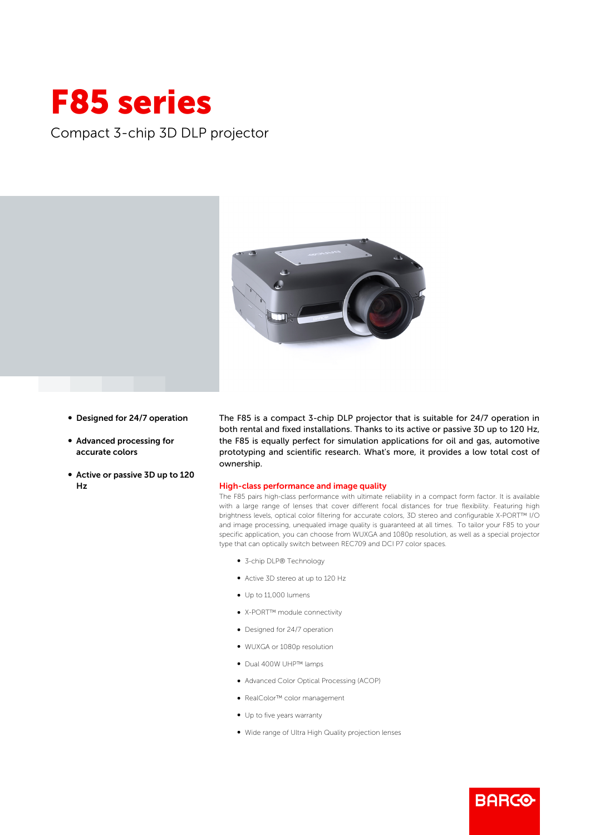## F85 series

Compact 3-chip 3D DLP projector



- Designed for 24/7 operation
- b Advanced processing for accurate colors
- Active or passive 3D up to 120 Hz

The F85 is a compact 3-chip DLP projector that is suitable for 24/7 operation in both rental and fixed installations. Thanks to its active or passive 3D up to 120 Hz, the F85 is equally perfect for simulation applications for oil and gas, automotive prototyping and scientific research. What's more, it provides a low total cost of ownership.

## High-class performance and image quality

The F85 pairs high-class performance with ultimate reliability in a compact form factor. It is available with a large range of lenses that cover different focal distances for true flexibility. Featuring high brightness levels, optical color filtering for accurate colors, 3D stereo and configurable X-PORT™ I/O and image processing, unequaled image quality is guaranteed at all times. To tailor your F85 to your specific application, you can choose from WUXGA and 1080p resolution, as well as a special projector type that can optically switch between REC709 and DCI P7 color spaces.

**BARGO** 

- 3-chip DLP® Technology
- b Active 3D stereo at up to 120 Hz
- $\bullet$  Up to 11,000 lumens
- X-PORT™ module connectivity
- Designed for 24/7 operation
- b WUXGA or 1080p resolution
- Dual 400W UHP™ lamps
- b Advanced Color Optical Processing (ACOP)
- RealColor™ color management
- Up to five years warranty
- b Wide range of Ultra High Quality projection lenses